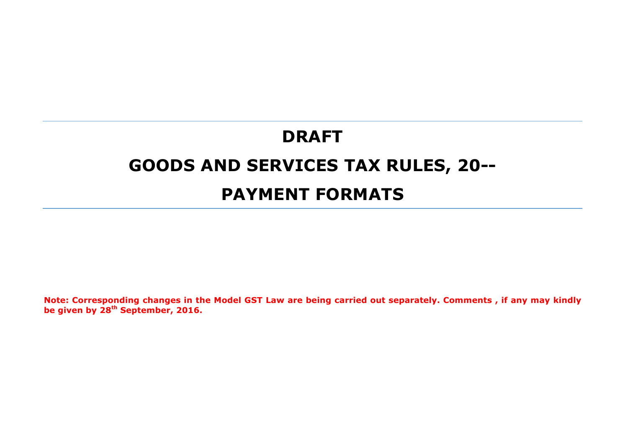# **DRAFT GOODS AND SERVICES TAX RULES, 20-- PAYMENT FORMATS**

**Note: Corresponding changes in the Model GST Law are being carried out separately. Comments , if any may kindly be given by 28th September, 2016.**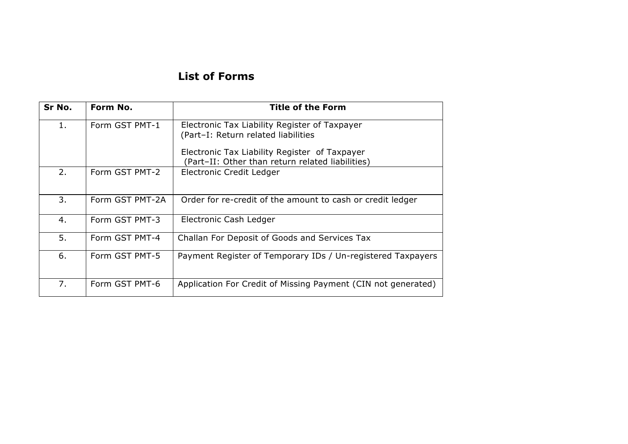# **List of Forms**

| Sr No. | Form No.        | <b>Title of the Form</b>                                                                                                                                                                  |
|--------|-----------------|-------------------------------------------------------------------------------------------------------------------------------------------------------------------------------------------|
| 1.     | Form GST PMT-1  | Electronic Tax Liability Register of Taxpayer<br>(Part-I: Return related liabilities<br>Electronic Tax Liability Register of Taxpayer<br>(Part-II: Other than return related liabilities) |
| 2.     | Form GST PMT-2  | Electronic Credit Ledger                                                                                                                                                                  |
| 3.     | Form GST PMT-2A | Order for re-credit of the amount to cash or credit ledger                                                                                                                                |
| 4.     | Form GST PMT-3  | Electronic Cash Ledger                                                                                                                                                                    |
| 5.     | Form GST PMT-4  | Challan For Deposit of Goods and Services Tax                                                                                                                                             |
| 6.     | Form GST PMT-5  | Payment Register of Temporary IDs / Un-registered Taxpayers                                                                                                                               |
| 7.     | Form GST PMT-6  | Application For Credit of Missing Payment (CIN not generated)                                                                                                                             |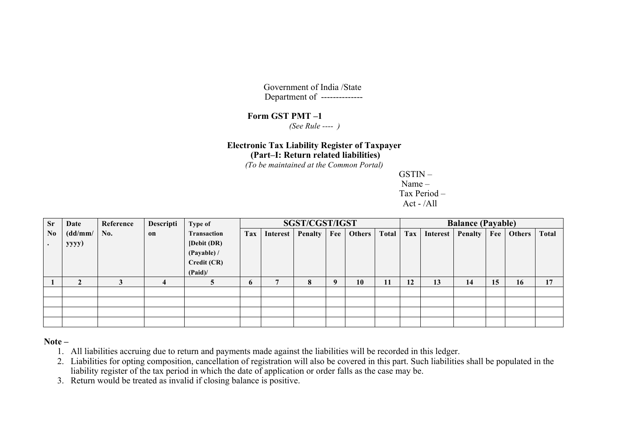Government of India /State Department of --------------

#### **Form GST PMT –1**

 *(See Rule ---- )*

# **Electronic Tax Liability Register of Taxpayer**

**(Part–I: Return related liabilities)**

*(To be maintained at the Common Portal)*

GSTIN – Name – Tax Period – Act - /All

| Sr             | Date    | Reference | Descripti | Type of            |              |          | SGST/CGST/IGST |             |        | <b>Balance (Payable)</b> |     |          |         |     |        |              |  |
|----------------|---------|-----------|-----------|--------------------|--------------|----------|----------------|-------------|--------|--------------------------|-----|----------|---------|-----|--------|--------------|--|
| $\mathbf{N_0}$ | (dd/mm/ | No.       | on        | <b>Transaction</b> | Tax          | Interest | Penalty        | Fee         | Others | <b>Total</b>             | Tax | Interest | Penalty | Fee | Others | <b>Total</b> |  |
| $\bullet$      | yyyy)   |           |           | [Debit (DR)        |              |          |                |             |        |                          |     |          |         |     |        |              |  |
|                |         |           |           | (Payable) /        |              |          |                |             |        |                          |     |          |         |     |        |              |  |
|                |         |           |           | Credit (CR)        |              |          |                |             |        |                          |     |          |         |     |        |              |  |
|                |         |           |           | (Paid)             |              |          |                |             |        |                          |     |          |         |     |        |              |  |
|                | ◠       |           | 4         |                    | $\mathbf{p}$ |          | 8              | $\mathbf Q$ | 10     | 11                       | 12  | 13       | 14      | 15  | 16     | 17           |  |
|                |         |           |           |                    |              |          |                |             |        |                          |     |          |         |     |        |              |  |
|                |         |           |           |                    |              |          |                |             |        |                          |     |          |         |     |        |              |  |
|                |         |           |           |                    |              |          |                |             |        |                          |     |          |         |     |        |              |  |
|                |         |           |           |                    |              |          |                |             |        |                          |     |          |         |     |        |              |  |

**Note –**

- 1. All liabilities accruing due to return and payments made against the liabilities will be recorded in this ledger.
- 2. Liabilities for opting composition, cancellation of registration will also be covered in this part. Such liabilities shall be populated in the liability register of the tax period in which the date of application or order falls as the case may be.
- 3. Return would be treated as invalid if closing balance is positive.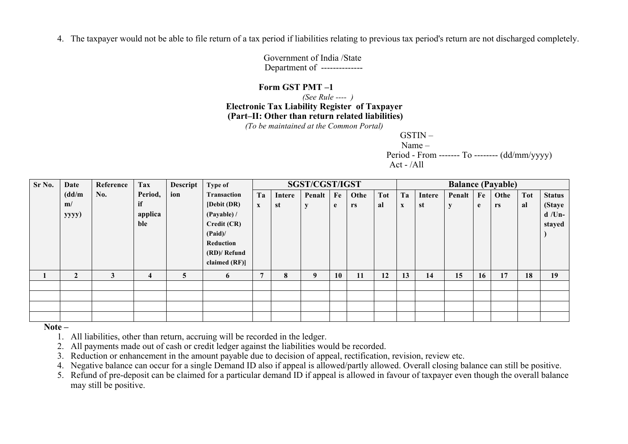4. The taxpayer would not be able to file return of a tax period if liabilities relating to previous tax period's return are not discharged completely.

Government of India /State Department of --------------

#### **Form GST PMT –1**

 *(See Rule ---- )* **Electronic Tax Liability Register of Taxpayer (Part–II: Other than return related liabilities)**

*(To be maintained at the Common Portal)*

GSTIN –

Name –

 Period - From ------- To -------- (dd/mm/yyyy) Act -  $/$ All

| Sr No. | <b>Date</b>    | Reference | <b>Tax</b> | Descript | Type of            |             |        | SGST/CGST/IGST |    |      |            | <b>Balance (Payable)</b> |        |           |    |      |            |               |
|--------|----------------|-----------|------------|----------|--------------------|-------------|--------|----------------|----|------|------------|--------------------------|--------|-----------|----|------|------------|---------------|
|        | (dd/m          | No.       | Period,    | ion      | <b>Transaction</b> | Ta          | Intere | Penalt         | Fe | Othe | <b>Tot</b> | Ta                       | Intere | Penalt    | Fe | Othe | <b>Tot</b> | <b>Status</b> |
|        | m/             |           | if         |          | [Debit (DR)]       | $\mathbf X$ | st     | y              | e  | rs   | al         | X                        | st     | ${\bf y}$ | e  | rs   | al         | (Staye        |
|        | yyyy)          |           | applica    |          | (Payable) /        |             |        |                |    |      |            |                          |        |           |    |      |            | $d$ /Un-      |
|        |                |           | ble        |          | Credit (CR)        |             |        |                |    |      |            |                          |        |           |    |      |            | stayed        |
|        |                |           |            |          | (Paid)             |             |        |                |    |      |            |                          |        |           |    |      |            |               |
|        |                |           |            |          | Reduction          |             |        |                |    |      |            |                          |        |           |    |      |            |               |
|        |                |           |            |          | (RD)/ Refund       |             |        |                |    |      |            |                          |        |           |    |      |            |               |
|        |                |           |            |          | claimed $(RF)$     |             |        |                |    |      |            |                          |        |           |    |      |            |               |
|        | $\overline{2}$ | 3         | 4          | 5        | 6                  | 7           | 8      | 9              | 10 | 11   | 12         | 13                       | 14     | 15        | 16 | 17   | 18         | 19            |
|        |                |           |            |          |                    |             |        |                |    |      |            |                          |        |           |    |      |            |               |
|        |                |           |            |          |                    |             |        |                |    |      |            |                          |        |           |    |      |            |               |
|        |                |           |            |          |                    |             |        |                |    |      |            |                          |        |           |    |      |            |               |
|        |                |           |            |          |                    |             |        |                |    |      |            |                          |        |           |    |      |            |               |

**Note –**

1. All liabilities, other than return, accruing will be recorded in the ledger.

2. All payments made out of cash or credit ledger against the liabilities would be recorded.

3. Reduction or enhancement in the amount payable due to decision of appeal, rectification, revision, review etc.

4. Negative balance can occur for a single Demand ID also if appeal is allowed/partly allowed. Overall closing balance can still be positive.

5. Refund of pre-deposit can be claimed for a particular demand ID if appeal is allowed in favour of taxpayer even though the overall balance may still be positive.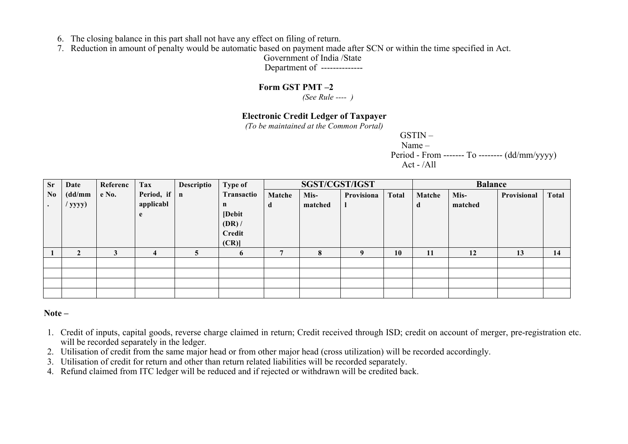- 6. The closing balance in this part shall not have any effect on filing of return.
- 7. Reduction in amount of penalty would be automatic based on payment made after SCN or within the time specified in Act.

Government of India /State

Department of --------------

## **Form GST PMT –2**

 *(See Rule ---- )*

# **Electronic Credit Ledger of Taxpayer**

*(To be maintained at the Common Portal)*

GSTIN – Name – Period - From ------- To -------- (dd/mm/yyyy) Act -  $/$ All

| <b>Sr</b>      | Date      | Referenc | Tax               | Descriptio | Type of     |                | SGST/CGST/IGST |            |              |        | <b>Balance</b> |             |              |
|----------------|-----------|----------|-------------------|------------|-------------|----------------|----------------|------------|--------------|--------|----------------|-------------|--------------|
| N <sub>0</sub> | (dd/mm    | e No.    | Period, if $\ $ n |            | Transactio  | Matche         | Mis-           | Provisiona | <b>Total</b> | Matche | Mis-           | Provisional | <b>Total</b> |
|                | $/$ yyyy) |          | applicabl         |            | $\mathbf n$ | a              | matched        |            |              | đ      | matched        |             |              |
|                |           |          | e                 |            | [Debit      |                |                |            |              |        |                |             |              |
|                |           |          |                   |            | (DR)        |                |                |            |              |        |                |             |              |
|                |           |          |                   |            | Credit      |                |                |            |              |        |                |             |              |
|                |           |          |                   |            | (CR)        |                |                |            |              |        |                |             |              |
|                |           | 3        | 4                 |            | 6           | $\overline{7}$ | 8              |            | 10           | 11     | 12             | 13          | 14           |
|                |           |          |                   |            |             |                |                |            |              |        |                |             |              |
|                |           |          |                   |            |             |                |                |            |              |        |                |             |              |
|                |           |          |                   |            |             |                |                |            |              |        |                |             |              |
|                |           |          |                   |            |             |                |                |            |              |        |                |             |              |

#### **Note –**

- 1. Credit of inputs, capital goods, reverse charge claimed in return; Credit received through ISD; credit on account of merger, pre-registration etc. will be recorded separately in the ledger.
- 2. Utilisation of credit from the same major head or from other major head (cross utilization) will be recorded accordingly.
- 3. Utilisation of credit for return and other than return related liabilities will be recorded separately.
- 4. Refund claimed from ITC ledger will be reduced and if rejected or withdrawn will be credited back.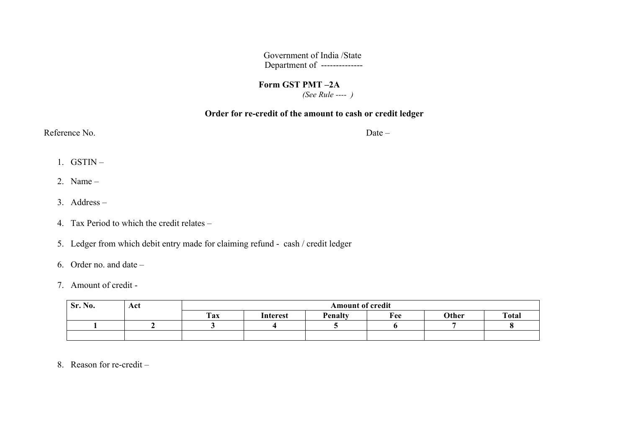Government of India /State Department of --------------

#### **Form GST PMT –2A**  *(See Rule ---- )*

#### **Order for re-credit of the amount to cash or credit ledger**

Reference No. Date –

- 1. GSTIN –
- 2. Name –
- 3. Address –
- 4. Tax Period to which the credit relates –
- 5. Ledger from which debit entry made for claiming refund cash / credit ledger
- 6. Order no. and date –
- 7. Amount of credit -

| Sr. No. | Act |     | <b>Amount of credit</b> |         |     |       |              |  |  |  |  |  |  |
|---------|-----|-----|-------------------------|---------|-----|-------|--------------|--|--|--|--|--|--|
|         |     | Tax | Interest                | Penalty | Fee | Other | <b>Total</b> |  |  |  |  |  |  |
|         |     |     |                         |         |     |       |              |  |  |  |  |  |  |
|         |     |     |                         |         |     |       |              |  |  |  |  |  |  |

8. Reason for re-credit –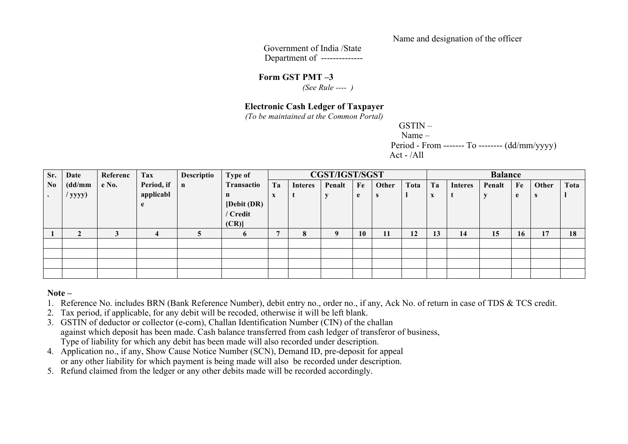Name and designation of the officer

Government of India /State Department of --------------

**Form GST PMT –3**

 *(See Rule ---- )*

#### **Electronic Cash Ledger of Taxpayer**

*(To be maintained at the Common Portal)*

GSTIN – Name – Period - From ------- To -------- (dd/mm/yyyy) Act - /All

| Sr.            | Date      | Referenc | Tax        | Descriptio   | Type of      |    | <b>CGST/IGST/SGST</b> |        |    |       |      |                   | <b>Balance</b> |        |    |       |      |  |  |  |
|----------------|-----------|----------|------------|--------------|--------------|----|-----------------------|--------|----|-------|------|-------------------|----------------|--------|----|-------|------|--|--|--|
| N <sub>0</sub> | (dd/mm    | e No.    | Period, if | $\mathbf{n}$ | Transactio   | Ta | Interes               | Penalt | Fe | Other | Tota | Ta                | <b>Interes</b> | Penalt | Fe | Other | Tota |  |  |  |
|                | $/$ yyyy) |          | applicabl  |              | n            | X  |                       |        | e  | -3    |      | $\mathbf{v}$<br>A |                |        | e  | -S    |      |  |  |  |
|                |           |          |            |              | [Debit (DR)  |    |                       |        |    |       |      |                   |                |        |    |       |      |  |  |  |
|                |           |          |            |              | / Credit     |    |                       |        |    |       |      |                   |                |        |    |       |      |  |  |  |
|                |           |          |            |              | (CR)         |    |                       |        |    |       |      |                   |                |        |    |       |      |  |  |  |
|                |           |          | 4          |              | <sub>0</sub> |    | 8                     | 9      | 10 | 11    | 12   | 13                | 14             | 15     | 16 | 17    | 18   |  |  |  |
|                |           |          |            |              |              |    |                       |        |    |       |      |                   |                |        |    |       |      |  |  |  |
|                |           |          |            |              |              |    |                       |        |    |       |      |                   |                |        |    |       |      |  |  |  |
|                |           |          |            |              |              |    |                       |        |    |       |      |                   |                |        |    |       |      |  |  |  |
|                |           |          |            |              |              |    |                       |        |    |       |      |                   |                |        |    |       |      |  |  |  |

#### **Note –**

1. Reference No. includes BRN (Bank Reference Number), debit entry no., order no., if any, Ack No. of return in case of TDS & TCS credit.

- 2. Tax period, if applicable, for any debit will be recoded, otherwise it will be left blank.
- 3. GSTIN of deductor or collector (e-com), Challan Identification Number (CIN) of the challan against which deposit has been made. Cash balance transferred from cash ledger of transferor of business, Type of liability for which any debit has been made will also recorded under description.
- 4. Application no., if any, Show Cause Notice Number (SCN), Demand ID, pre-deposit for appeal or any other liability for which payment is being made will also be recorded under description.
- 5. Refund claimed from the ledger or any other debits made will be recorded accordingly.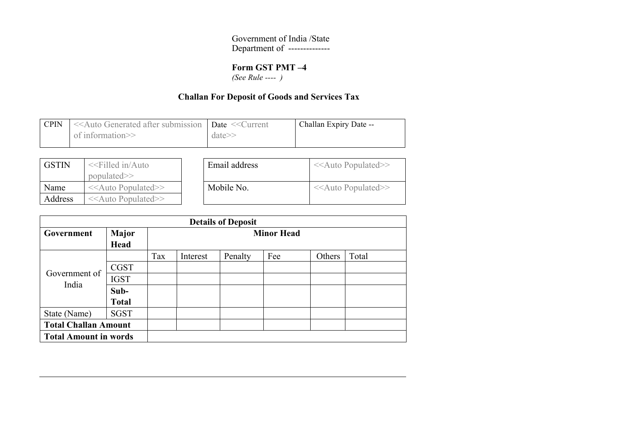Government of India /State Department of --------------

# **Form GST PMT –4**

 *(See Rule ---- )*

# **Challan For Deposit of Goods and Services Tax**

| <b>CPIN</b> | < <auto <<current<="" after="" date="" generated="" submission="" th=""  =""><th></th><th>Challan Expiry Date --</th></auto> |            | Challan Expiry Date -- |
|-------------|------------------------------------------------------------------------------------------------------------------------------|------------|------------------------|
|             | of information $\gg$                                                                                                         | $date\geq$ |                        |

| <b>GSTIN</b> | $<<$ Filled in/Auto<br>$populated \ge$ | Email address | $<<$ Auto Populated>> |
|--------------|----------------------------------------|---------------|-----------------------|
| Name         | $<<$ Auto Populated>>                  | Mobile No.    | $<<$ Auto Populated>> |
| Address      | $<<$ Auto Populated>>                  |               |                       |

|                              |              |     |          | <b>Details of Deposit</b> |                   |        |       |
|------------------------------|--------------|-----|----------|---------------------------|-------------------|--------|-------|
| Government                   | <b>Major</b> |     |          |                           | <b>Minor Head</b> |        |       |
|                              | Head         |     |          |                           |                   |        |       |
|                              |              | Tax | Interest | Penalty                   | Fee               | Others | Total |
| Government of                | <b>CGST</b>  |     |          |                           |                   |        |       |
| India                        | <b>IGST</b>  |     |          |                           |                   |        |       |
|                              | Sub-         |     |          |                           |                   |        |       |
|                              | <b>Total</b> |     |          |                           |                   |        |       |
| State (Name)                 | <b>SGST</b>  |     |          |                           |                   |        |       |
| <b>Total Challan Amount</b>  |              |     |          |                           |                   |        |       |
| <b>Total Amount in words</b> |              |     |          |                           |                   |        |       |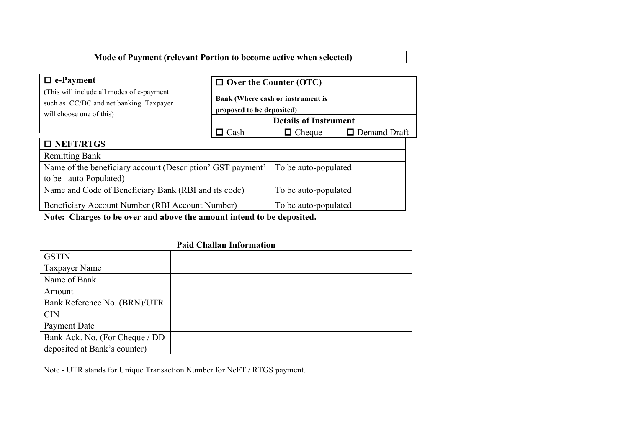# **Mode of Payment (relevant Portion to become active when selected)**

| $\Box$ e-Payment                                                                                                 | $\Box$ Over the Counter (OTC) |                                   |                     |  |  |  |
|------------------------------------------------------------------------------------------------------------------|-------------------------------|-----------------------------------|---------------------|--|--|--|
| (This will include all modes of e-payment<br>such as CC/DC and net banking. Taxpayer<br>will choose one of this) | proposed to be deposited)     | Bank (Where cash or instrument is |                     |  |  |  |
|                                                                                                                  |                               | <b>Details of Instrument</b>      |                     |  |  |  |
|                                                                                                                  | $\Box$ Cash                   | $\Box$ Cheque                     | $\Box$ Demand Draft |  |  |  |
| $\Box$ NEFT/RTGS                                                                                                 |                               |                                   |                     |  |  |  |
| <b>Remitting Bank</b>                                                                                            |                               |                                   |                     |  |  |  |
| Name of the beneficiary account (Description' GST payment'                                                       |                               | To be auto-populated              |                     |  |  |  |
| to be auto Populated)                                                                                            |                               |                                   |                     |  |  |  |
| Name and Code of Beneficiary Bank (RBI and its code)                                                             | To be auto-populated          |                                   |                     |  |  |  |
| Beneficiary Account Number (RBI Account Number)                                                                  | To be auto-populated          |                                   |                     |  |  |  |

**Note: Charges to be over and above the amount intend to be deposited.**

|                                | <b>Paid Challan Information</b> |
|--------------------------------|---------------------------------|
| <b>GSTIN</b>                   |                                 |
| <b>Taxpayer Name</b>           |                                 |
| Name of Bank                   |                                 |
| Amount                         |                                 |
| Bank Reference No. (BRN)/UTR   |                                 |
| <b>CIN</b>                     |                                 |
| Payment Date                   |                                 |
| Bank Ack. No. (For Cheque / DD |                                 |
| deposited at Bank's counter)   |                                 |

Note - UTR stands for Unique Transaction Number for NeFT / RTGS payment.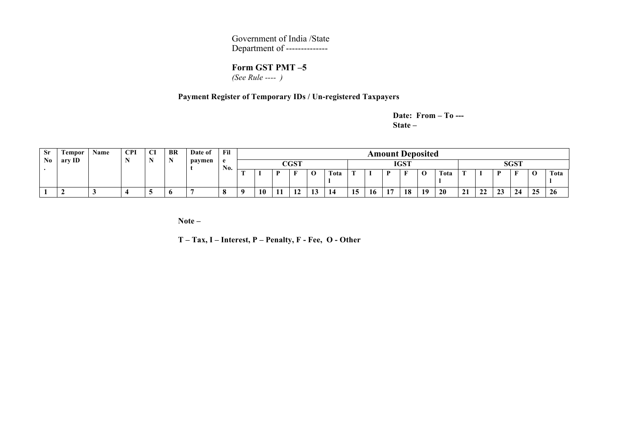Government of India /State Department of --------------

# **Form GST PMT –5**

 *(See Rule ---- )*

#### **Payment Register of Temporary IDs / Un-registered Taxpayers**

**Date: From – To --- State –**

| <b>Sr</b> | <b>Tempor</b> | Name | <b>CPI</b> | CI | <b>BR</b> | Date of | Fil |    |    |               |           |      |    |    |    | <b>Amount Deposited</b> |        |           |    |              |    |             |             |           |
|-----------|---------------|------|------------|----|-----------|---------|-----|----|----|---------------|-----------|------|----|----|----|-------------------------|--------|-----------|----|--------------|----|-------------|-------------|-----------|
| No        | ary ID        |      | <b>IX</b>  |    |           | paymen  | No. |    |    | $_{\rm CGST}$ |           |      |    |    |    | <b>IGST</b>             |        |           |    |              |    | <b>SGST</b> |             |           |
|           |               |      |            |    |           |         |     | m. |    | $\mathbf{r}$  | c<br>v    | Tota |    |    | Ð  |                         | ◠<br>◡ | Tota      |    |              | n  |             | $\mathbf 0$ | Tota      |
|           |               |      |            | ູ  | v         |         | o   |    | 10 | $\sim$<br>    | - -<br>⊥୰ | -14  | 15 | 16 | 17 | 18                      | 19     | <b>20</b> | 21 | $\sim$<br>▵▵ | 23 | 24          | 25          | <b>26</b> |

**Note –**

**T – Tax, I – Interest, P – Penalty, F - Fee, O - Other**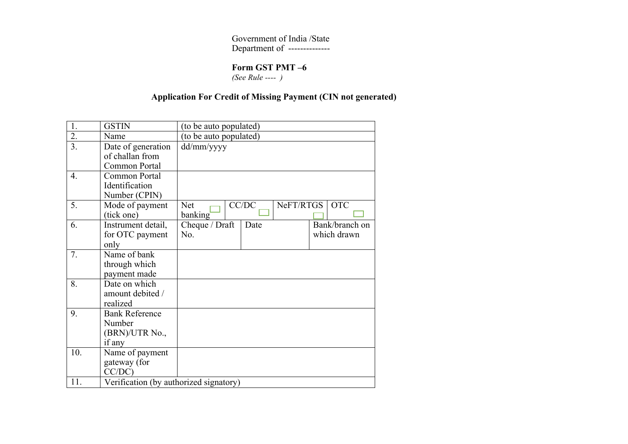Government of India /State Department of --------------

# **Form GST PMT –6**

 *(See Rule ---- )*

# **Application For Credit of Missing Payment (CIN not generated)**

| 1.               | <b>GSTIN</b>                                                | (to be auto populated)                                         |  |
|------------------|-------------------------------------------------------------|----------------------------------------------------------------|--|
| $\overline{2}$ . | Name                                                        | (to be auto populated)                                         |  |
| 3.               | Date of generation<br>of challan from<br>Common Portal      | dd/mm/yyyy                                                     |  |
| $\overline{4}$ . | Common Portal<br>Identification<br>Number (CPIN)            |                                                                |  |
| 5.               | Mode of payment<br>(tick one)                               | CC/DC<br>NeFT/RTGS<br><b>OTC</b><br><b>Net</b><br>banking      |  |
| 6.               | Instrument detail,<br>for OTC payment<br>only               | Bank/branch on<br>Cheque / Draft<br>Date<br>which drawn<br>No. |  |
| 7.               | Name of bank<br>through which<br>payment made               |                                                                |  |
| 8.               | Date on which<br>amount debited /<br>realized               |                                                                |  |
| 9.               | <b>Bank Reference</b><br>Number<br>(BRN)/UTR No.,<br>if any |                                                                |  |
| 10.              | Name of payment<br>gateway (for<br>$CC/DC$ )                |                                                                |  |
| 11.              | Verification (by authorized signatory)                      |                                                                |  |